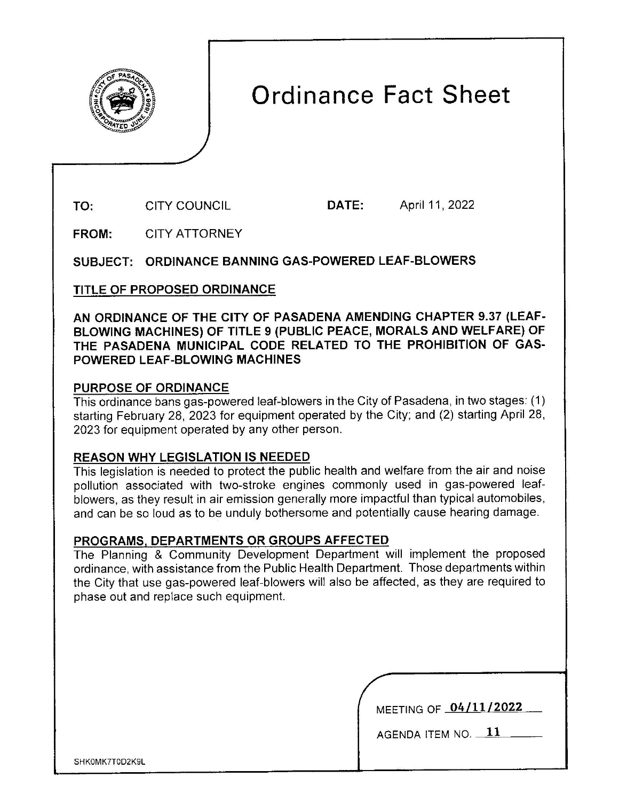

# **Ordinance Fact Sheet**

**TO:**  CITY COUNCIL **DATE:** April 11 , 2022

**FROM:**  CITY ATTORNEY

**SUBJECT: ORDINANCE BANNING GAS-POWERED LEAF-BLOWERS** 

**TITLE OF PROPOSED ORDINANCE** 

**AN ORDINANCE OF THE CITY OF PASADENA AMENDING CHAPTER 9.37 (LEAF-BLOWING MACHINES) OF TITLE 9 (PUBLIC PEACE, MORALS AND WELFARE) OF THE PASADENA MUNICIPAL CODE RELATED TO THE PROHIBITION OF GAS-POWERED LEAF-BLOWING MACHINES** 

## **PURPOSE OF ORDINANCE**

This ordinance bans gas-powered leaf-blowers in the City of Pasadena, in two stages: (1) starting February 28, 2023 for equipment operated by the City; and (2) starting April 28, 2023 for equipment operated by any other person.

## **REASON WHY LEGISLATION IS NEEDED**

This legislation is needed to protect the public health and welfare from the air and noise pollution associated with two-stroke engines commonly used in gas-powered leafblowers, as they result in air emission generally more impactful than typical automobiles, and can be so loud as to be unduly bothersome and potentially cause hearing damage.

## **PROGRAMS, DEPARTMENTS OR GROUPS AFFECTED**

The Planning & Community Development Department will implement the proposed ordinance, with assistance from the Public Health Department. Those departments within the City that use gas-powered leaf-blowers will also be affected, as they are required to phase out and replace such equipment.

MEETING OF **04/11/2022** 

AGENDA ITEM NO. **11** 

SHK0MK7T0D2K9L